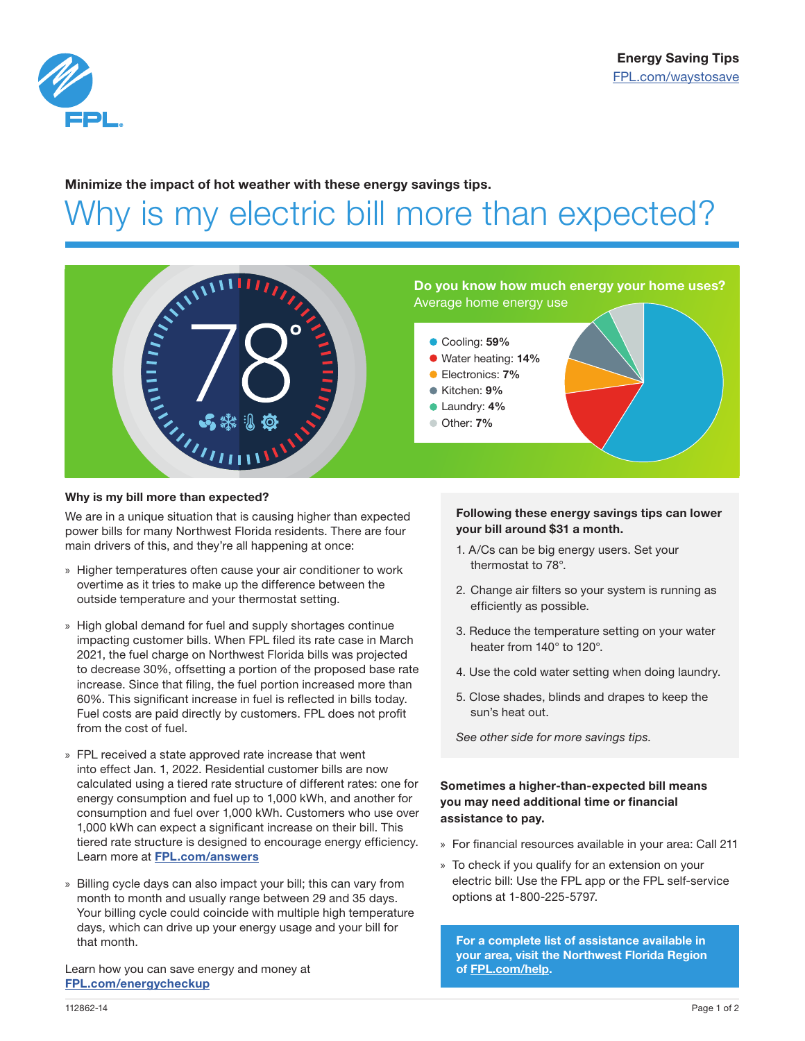

## Why is my electric bill more than expected? Minimize the impact of hot weather with these energy savings tips.



### Do you know how much energy your home uses? Average home energy use

Cooling: 59%

- Water heating: 14%
- Electronics: 7%
- Kitchen: 9%
- **Laundry: 4%**
- Other: 7%

#### Why is my bill more than expected?

We are in a unique situation that is causing higher than expected power bills for many Northwest Florida residents. There are four main drivers of this, and they're all happening at once:

- » Higher temperatures often cause your air conditioner to work overtime as it tries to make up the difference between the outside temperature and your thermostat setting.
- » High global demand for fuel and supply shortages continue impacting customer bills. When FPL filed its rate case in March 2021, the fuel charge on Northwest Florida bills was projected to decrease 30%, offsetting a portion of the proposed base rate increase. Since that filing, the fuel portion increased more than 60%. This significant increase in fuel is reflected in bills today. Fuel costs are paid directly by customers. FPL does not profit from the cost of fuel.
- » FPL received a state approved rate increase that went into effect Jan. 1, 2022. Residential customer bills are now calculated using a tiered rate structure of different rates: one for energy consumption and fuel up to 1,000 kWh, and another for consumption and fuel over 1,000 kWh. Customers who use over 1,000 kWh can expect a significant increase on their bill. This tiered rate structure is designed to encourage energy efficiency. Learn more at [FPL.com/answers](https://www.fpl.com/answers.html)
- » Billing cycle days can also impact your bill; this can vary from month to month and usually range between 29 and 35 days. Your billing cycle could coincide with multiple high temperature days, which can drive up your energy usage and your bill for that month.

Learn how you can save energy and money at FPL[.com/energycheckup](https://www.fpl.com/northwest/save/programs/energy-checkup.html)

#### Following these energy savings tips can lower your bill around \$31 a month.

- 1. A/Cs can be big energy users. Set your thermostat to 78°.
- 2. Change air filters so your system is running as efficiently as possible.
- 3. Reduce the temperature setting on your water heater from 140° to 120°.
- 4. Use the cold water setting when doing laundry.
- 5. Close shades, blinds and drapes to keep the sun's heat out.

*See other side for more savings tips.*

#### Sometimes a higher-than-expected bill means you may need additional time or financial assistance to pay.

- » For financial resources available in your area: Call 211
- » To check if you qualify for an extension on your electric bill: Use the FPL app or the FPL self-service options at 1-800-225-5797.

For a complete list of assistance available in your area, visit the Northwest Florida Region of [FPL.com](https://www.fpl.com/help.html)/help.